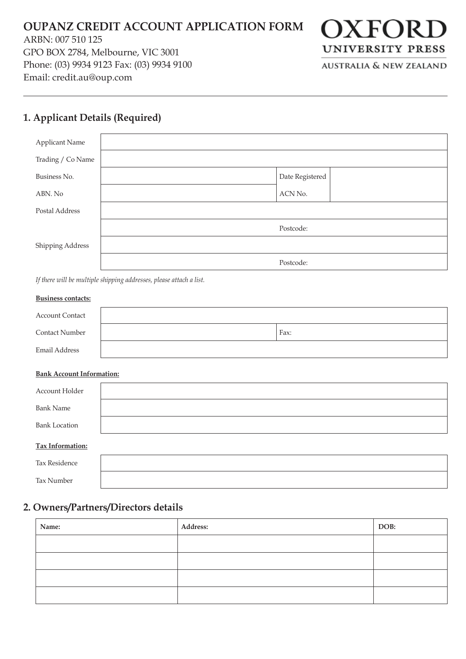# **OUPANZ CREDIT ACCOUNT APPLICATION FORM**

ARBN: 007 510 125 GPO BOX 2784, Melbourne, VIC 3001 Phone: (03) 9934 9123 Fax: (03) 9934 9100 Email: credit.au@oup.com



**AUSTRALIA & NEW ZEALAND** 

# **1. Applicant Details (Required)**

| <b>Applicant Name</b> |                 |
|-----------------------|-----------------|
| Trading / Co Name     |                 |
| Business No.          | Date Registered |
| ABN. No               | ACN No.         |
| Postal Address        |                 |
|                       | Postcode:       |
| Shipping Address      |                 |
|                       | Postcode:       |

*If there will be multiple shipping addresses, please attach a list.*

### **Business contacts:**

| <b>Account Contact</b> |      |
|------------------------|------|
| <b>Contact Number</b>  | Fax: |
| Email Address          |      |

### **Bank Account Information:**

| Account Holder       |  |
|----------------------|--|
| <b>Bank Name</b>     |  |
| <b>Bank Location</b> |  |
|                      |  |
| Tax Information:     |  |
| Tax Residence        |  |

# **2. Owners/Partners/Directors details**

| Name: | Address: | DOB: |
|-------|----------|------|
|       |          |      |
|       |          |      |
|       |          |      |
|       |          |      |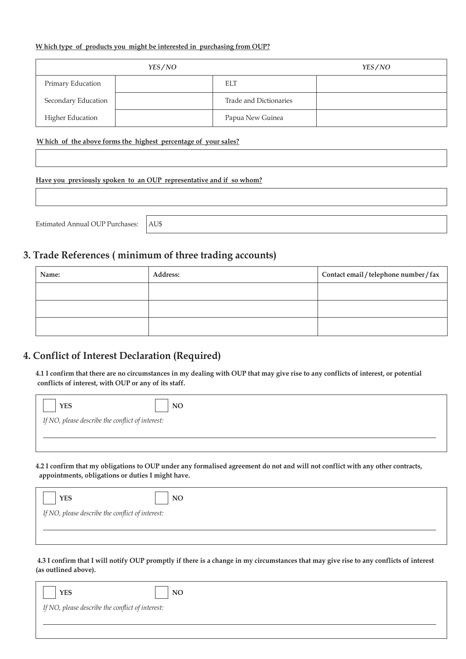### **W hich type of products you might be interested in purchasing from OUP?**

| YES/NO                  |  | YES/NO                 |  |
|-------------------------|--|------------------------|--|
| Primary Education       |  | ELT.                   |  |
| Secondary Education     |  | Trade and Dictionaries |  |
| <b>Higher Education</b> |  | Papua New Guinea       |  |

### **W hich of the above forms the highest percentage of your sales?**

### **Have you previously spoken to an OUP representative and if so whom?**

| Estimated Annual OUP Purchases: | AU\$ |
|---------------------------------|------|

## **3. Trade References ( minimum of three trading accounts)**

| Name: | Address: | Contact email / telephone number / fax |
|-------|----------|----------------------------------------|
|       |          |                                        |
|       |          |                                        |
|       |          |                                        |

## **4. Conflict of Interest Declaration (Required)**

**4.1 I confirm that there are no circumstances in my dealing with OUP that may give rise to any conflicts of interest, or potential conflicts of interest, with OUP or any of its staff.** 

| If NO, please describe the conflict of interest: |  |  |  |
|--------------------------------------------------|--|--|--|
|                                                  |  |  |  |
|                                                  |  |  |  |

**4.2 I confirm that my obligations to OUP under any formalised agreement do not and will not conflict with any other contracts, appointments, obligations or duties I might have.** 

| <b>YES</b>                                       | <b>NO</b> |  |  |
|--------------------------------------------------|-----------|--|--|
| If NO, please describe the conflict of interest: |           |  |  |
|                                                  |           |  |  |
|                                                  |           |  |  |

 **4.3 I confirm that I will notify OUP promptly if there is a change in my circumstances that may give rise to any conflicts of interest (as outlined above).** 

| <b>YES</b>                                       | <b>NO</b> |  |  |
|--------------------------------------------------|-----------|--|--|
| If NO, please describe the conflict of interest: |           |  |  |
|                                                  |           |  |  |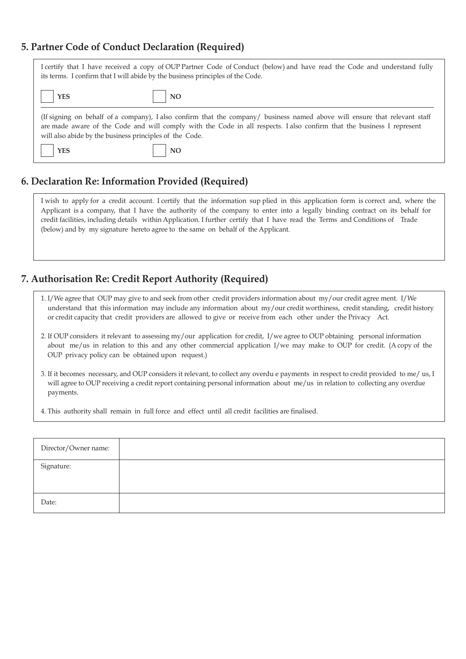### **5. Partner Code of Conduct Declaration (Required)**

| I certify that I have received a copy of OUP Partner Code of Conduct (below) and have read the Code and understand fully<br>its terms. I confirm that I will abide by the business principles of the Code.                                                                                                      |  |
|-----------------------------------------------------------------------------------------------------------------------------------------------------------------------------------------------------------------------------------------------------------------------------------------------------------------|--|
| $\vert$ YES<br><b>NO</b>                                                                                                                                                                                                                                                                                        |  |
| (If signing on behalf of a company), I also confirm that the company/ business named above will ensure that relevant staff<br>are made aware of the Code and will comply with the Code in all respects. I also confirm that the business I represent<br>will also abide by the business principles of the Code. |  |
| <b>YES</b><br><b>NO</b>                                                                                                                                                                                                                                                                                         |  |

### **6. Declaration Re: Information Provided (Required)**

I wish to apply for a credit account. I certify that the information sup plied in this application form is correct and, where the Applicant is a company, that I have the authority of the company to enter into a legally binding contract on its behalf for credit facilities, including details within Application. I further certify that I have read the Terms and Conditions of Trade (below) and by my signature hereto agree to the same on behalf of the Applicant.

## **7. Authorisation Re: Credit Report Authority (Required)**

- 1. I/We agree that OUP may give to and seek from other credit providers information about my/our credit agree ment. I/We understand that this information may include any information about my/our credit worthiness, credit standing, credit history or credit capacity that credit providers are allowed to give or receive from each other under the Privacy Act.
- 2. If OUP considers it relevant to assessing my/our application for credit, I/we agree to OUP obtaining personal information about me/us in relation to this and any other commercial application I/we may make to OUP for credit. (A copy of the OUP privacy policy can be obtained upon request.)
- 3. If it becomes necessary, and OUP considers it relevant, to collect any overdu e payments in respect to credit provided to me/ us, I will agree to OUP receiving a credit report containing personal information about me/us in relation to collecting any overdue payments.

4. This authority shall remain in full force and effect until all credit facilities are finalised.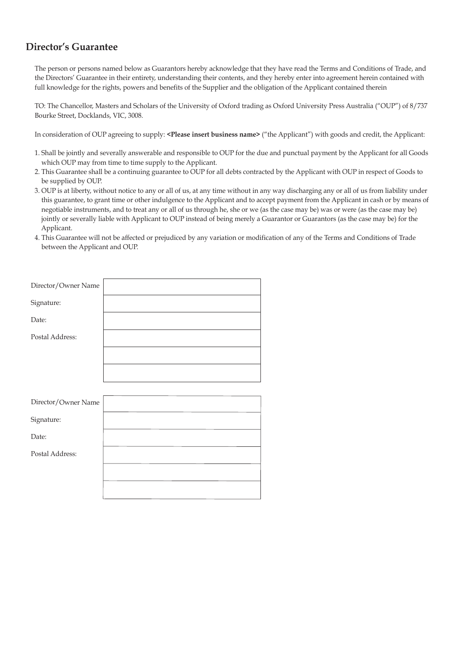## **Director's Guarantee**

The person or persons named below as Guarantors hereby acknowledge that they have read the Terms and Conditions of Trade, and the Directors' Guarantee in their entirety, understanding their contents, and they hereby enter into agreement herein contained with full knowledge for the rights, powers and benefits of the Supplier and the obligation of the Applicant contained therein

TO: The Chancellor, Masters and Scholars of the University of Oxford trading as Oxford University Press Australia ("OUP") of 8/737 Bourke Street, Docklands, VIC, 3008.

In consideration of OUP agreeing to supply: *<***Please insert business name>** ("the Applicant") with goods and credit, the Applicant:

- 1. Shall be jointly and severally answerable and responsible to OUP for the due and punctual payment by the Applicant for all Goods which OUP may from time to time supply to the Applicant.
- 2. This Guarantee shall be a continuing guarantee to OUP for all debts contracted by the Applicant with OUP in respect of Goods to be supplied by OUP.
- 3. OUP is at liberty, without notice to any or all of us, at any time without in any way discharging any or all of us from liability under this guarantee, to grant time or other indulgence to the Applicant and to accept payment from the Applicant in cash or by means of negotiable instruments, and to treat any or all of us through he, she or we (as the case may be) was or were (as the case may be) jointly or severally liable with Applicant to OUP instead of being merely a Guarantor or Guarantors (as the case may be) for the Applicant.
- 4. This Guarantee will not be affected or prejudiced by any variation or modification of any of the Terms and Conditions of Trade between the Applicant and OUP.

| Director/Owner Name |  |
|---------------------|--|
| Signature:          |  |
| Date:               |  |
| Postal Address:     |  |
|                     |  |
|                     |  |
|                     |  |
| Director/Owner Name |  |
| Signature:          |  |
| Date:               |  |
| Postal Address:     |  |
|                     |  |
|                     |  |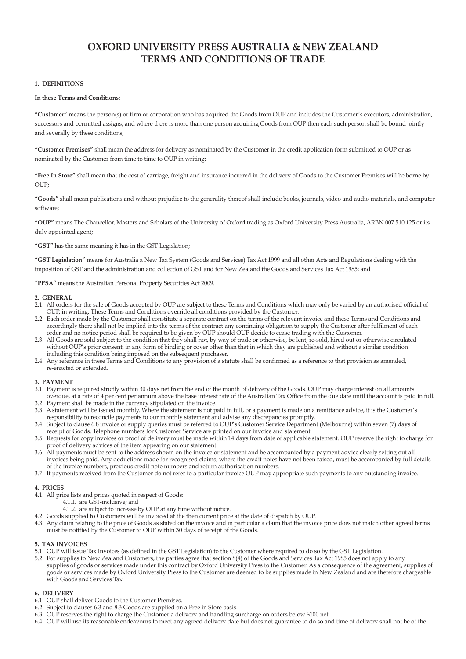## **OXFORD UNIVERSITY PRESS AUSTRALIA & NEW ZEALAND TERMS AND CONDITIONS OF TRADE**

#### **1. DEFINITIONS**

#### **In these Terms and Conditions:**

**"Customer"** means the person(s) or firm or corporation who has acquired the Goods from OUP and includes the Customer's executors, administration, successors and permitted assigns, and where there is more than one person acquiring Goods from OUP then each such person shall be bound jointly and severally by these conditions;

**"Customer Premises"** shall mean the address for delivery as nominated by the Customer in the credit application form submitted to OUP or as nominated by the Customer from time to time to OUP in writing;

**"Free In Store"** shall mean that the cost of carriage, freight and insurance incurred in the delivery of Goods to the Customer Premises will be borne by OUP;

**"Goods"** shall mean publications and without prejudice to the generality thereof shall include books, journals, video and audio materials, and computer software;

**"OUP"** means The Chancellor, Masters and Scholars of the University of Oxford trading as Oxford University Press Australia, ARBN 007 510 125 or its duly appointed agent;

**"GST"** has the same meaning it has in the GST Legislation;

**"GST Legislation"** means for Australia a New Tax System (Goods and Services) Tax Act 1999 and all other Acts and Regulations dealing with the imposition of GST and the administration and collection of GST and for New Zealand the Goods and Services Tax Act 1985; and

**"PPSA"** means the Australian Personal Property Securities Act 2009.

#### **2. GENERAL**

- 2.1. All orders for the sale of Goods accepted by OUP are subject to these Terms and Conditions which may only be varied by an authorised official of OUP, in writing. These Terms and Conditions override all conditions provided by the Customer.
- 2.2. Each order made by the Customer shall constitute a separate contract on the terms of the relevant invoice and these Terms and Conditions and accordingly there shall not be implied into the terms of the contract any continuing obligation to supply the Customer after fulfilment of each order and no notice period shall be required to be given by OUP should OUP decide to cease trading with the Customer.
- 2.3. All Goods are sold subject to the condition that they shall not, by way of trade or otherwise, be lent, re-sold, hired out or otherwise circulated without OUP's prior consent, in any form of binding or cover other than that in which they are published and without a similar condition including this condition being imposed on the subsequent purchaser.
- 2.4. Any reference in these Terms and Conditions to any provision of a statute shall be confirmed as a reference to that provision as amended, re-enacted or extended.

#### **3. PAYMENT**

- 3.1. Payment is required strictly within 30 days net from the end of the month of delivery of the Goods. OUP may charge interest on all amounts overdue, at a rate of 4 per cent per annum above the base interest rate of the Australian Tax Office from the due date until the account is paid in full.
- 3.2. Payment shall be made in the currency stipulated on the invoice.
- 3.3. A statement will be issued monthly. Where the statement is not paid in full, or a payment is made on a remittance advice, it is the Customer's responsibility to reconcile payments to our monthly statement and advise any discrepancies promptly.
- 3.4. Subject to clause 6.8 invoice or supply queries must be referred to OUP's Customer Service Department (Melbourne) within seven (7) days of receipt of Goods. Telephone numbers for Customer Service are printed on our invoice and statement.
- 3.5. Requests for copy invoices or proof of delivery must be made within 14 days from date of applicable statement. OUP reserve the right to charge for proof of delivery advices of the item appearing on our statement.
- 3.6. All payments must be sent to the address shown on the invoice or statement and be accompanied by a payment advice clearly setting out all invoices being paid. Any deductions made for recognised claims, where the credit notes have not been raised, must be accompanied by full details of the invoice numbers, previous credit note numbers and return authorisation numbers.
- 3.7. If payments received from the Customer do not refer to a particular invoice OUP may appropriate such payments to any outstanding invoice.

#### **4. PRICES**

- 4.1. All price lists and prices quoted in respect of Goods:
	- 4.1.1. are GST-inclusive; and
	- 4.1.2. are subject to increase by OUP at any time without notice.
- 4.2. Goods supplied to Customers will be invoiced at the then current price at the date of dispatch by OUP.
- 4.3. Any claim relating to the price of Goods as stated on the invoice and in particular a claim that the invoice price does not match other agreed terms must be notified by the Customer to OUP within 30 days of receipt of the Goods.

#### **5. TAX INVOICES**

- 5.1. OUP will issue Tax Invoices (as defined in the GST Legislation) to the Customer where required to do so by the GST Legislation.
- 5.2. For supplies to New Zealand Customers, the parties agree that section 8(4) of the Goods and Services Tax Act 1985 does not apply to any supplies of goods or services made under this contract by Oxford University Press to the Customer. As a consequence of the agreement, supplies of goods or services made by Oxford University Press to the Customer are deemed to be supplies made in New Zealand and are therefore chargeable with Goods and Services Tax.

#### **6. DELIVERY**

- 6.1. OUP shall deliver Goods to the Customer Premises.
- 6.2. Subject to clauses 6.3 and 8.3 Goods are supplied on a Free in Store basis.
- 6.3. OUP reserves the right to charge the Customer a delivery and handling surcharge on orders below \$100 net.
- 6.4. OUP will use its reasonable endeavours to meet any agreed delivery date but does not guarantee to do so and time of delivery shall not be of the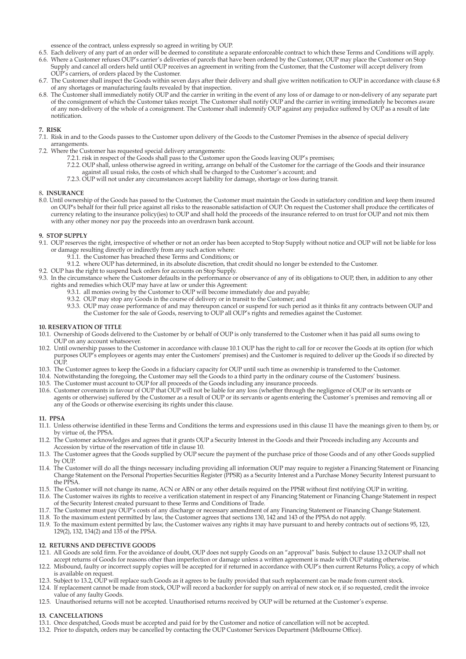essence of the contract, unless expressly so agreed in writing by OUP.

- 6.5. Each delivery of any part of an order will be deemed to constitute a separate enforceable contract to which these Terms and Conditions will apply.
- 6.6. Where a Customer refuses OUP's carrier's deliveries of parcels that have been ordered by the Customer, OUP may place the Customer on Stop Supply and cancel all orders held until OUP receives an agreement in writing from the Customer, that the Customer will accept delivery from OUP's carriers, of orders placed by the Customer.
- 6.7. The Customer shall inspect the Goods within seven days after their delivery and shall give written notification to OUP in accordance with clause 6.8 of any shortages or manufacturing faults revealed by that inspection.
- 6.8. The Customer shall immediately notify OUP and the carrier in writing in the event of any loss of or damage to or non-delivery of any separate part of the consignment of which the Customer takes receipt. The Customer shall notify OUP and the carrier in writing immediately he becomes aware of any non-delivery of the whole of a consignment. The Customer shall indemnify OUP against any prejudice suffered by OUP as a result of late notification.

#### **7. RISK**

- 7.1. Risk in and to the Goods passes to the Customer upon delivery of the Goods to the Customer Premises in the absence of special delivery arrangements.
- 7.2. Where the Customer has requested special delivery arrangements:
	- 7.2.1. risk in respect of the Goods shall pass to the Customer upon the Goods leaving OUP's premises;
	- 7.2.2. OUP shall, unless otherwise agreed in writing, arrange on behalf of the Customer for the carriage of the Goods and their insurance against all usual risks, the costs of which shall be charged to the Customer's account; and
	- 7.2.3. OUP will not under any circumstances accept liability for damage, shortage or loss during transit.

#### 8**. INSURANCE**

8.0. Until ownership of the Goods has passed to the Customer, the Customer must maintain the Goods in satisfactory condition and keep them insured on OUP's behalf for their full price against all risks to the reasonable satisfaction of OUP. On request the Customer shall produce the certificates of currency relating to the insurance policy(ies) to OUP and shall hold the proceeds of the insurance referred to on trust for OUP and not mix them with any other money nor pay the proceeds into an overdrawn bank account.

#### **9. STOP SUPPLY**

- 9.1. OUP reserves the right, irrespective of whether or not an order has been accepted to Stop Supply without notice and OUP will not be liable for loss or damage resulting directly or indirectly from any such action where:
	- 9.1.1. the Customer has breached these Terms and Conditions; or
	- 9.1.2. where OUP has determined, in its absolute discretion, that credit should no longer be extended to the Customer.
- 9.2. OUP has the right to suspend back orders for accounts on Stop Supply.
- 9.3. In the circumstance where the Customer defaults in the performance or observance of any of its obligations to OUP, then, in addition to any other rights and remedies which OUP may have at law or under this Agreement:
	- 9.3.1. all monies owing by the Customer to OUP will become immediately due and payable;
	- 9.3.2. OUP may stop any Goods in the course of delivery or in transit to the Customer; and
	- 9.3.3. OUP may cease performance of and may thereupon cancel or suspend for such period as it thinks fit any contracts between OUP and the Customer for the sale of Goods, reserving to OUP all OUP's rights and remedies against the Customer.

#### **10. RESERVATION OF TITLE**

- 10.1. Ownership of Goods delivered to the Customer by or behalf of OUP is only transferred to the Customer when it has paid all sums owing to OUP on any account whatsoever.
- 10.2. Until ownership passes to the Customer in accordance with clause 10.1 OUP has the right to call for or recover the Goods at its option (for which purposes OUP's employees or agents may enter the Customers' premises) and the Customer is required to deliver up the Goods if so directed by OUP.
- 10.3. The Customer agrees to keep the Goods in a fiduciary capacity for OUP until such time as ownership is transferred to the Customer.
- 10.4. Notwithstanding the foregoing, the Customer may sell the Goods to a third party in the ordinary course of the Customers' business.
- 10.5. The Customer must account to OUP for all proceeds of the Goods including any insurance proceeds.
- 10.6. Customer covenants in favour of OUP that OUP will not be liable for any loss (whether through the negligence of OUP or its servants or agents or otherwise) suffered by the Customer as a result of OUP or its servants or agents entering the Customer's premises and removing all or any of the Goods or otherwise exercising its rights under this clause.

#### **11. PPSA**

- 11.1. Unless otherwise identified in these Terms and Conditions the terms and expressions used in this clause 11 have the meanings given to them by, or by virtue of, the PPSA.
- 11.2. The Customer acknowledges and agrees that it grants OUP a Security Interest in the Goods and their Proceeds including any Accounts and Accession by virtue of the reservation of title in clause 10.
- 11.3. The Customer agrees that the Goods supplied by OUP secure the payment of the purchase price of those Goods and of any other Goods supplied by OUP.
- 11.4. The Customer will do all the things necessary including providing all information OUP may require to register a Financing Statement or Financing Change Statement on the Personal Properties Securities Register (PPSR) as a Security Interest and a Purchase Money Security Interest pursuant to the PPSA.
- 11.5. The Customer will not change its name, ACN or ABN or any other details required on the PPSR without first notifying OUP in writing.
- 11.6. The Customer waives its rights to receive a verification statement in respect of any Financing Statement or Financing Change Statement in respect of the Security Interest created pursuant to these Terms and Conditions of Trade.
- 11.7. The Customer must pay OUP's costs of any discharge or necessary amendment of any Financing Statement or Financing Change Statement.
- 11.8. To the maximum extent permitted by law, the Customer agrees that sections 130, 142 and 143 of the PPSA do not apply.
- 11.9. To the maximum extent permitted by law, the Customer waives any rights it may have pursuant to and hereby contracts out of sections 95, 123, 129(2), 132, 134(2) and 135 of the PPSA.

#### **12. RETURNS AND DEFECTIVE GOODS**

- 12.1. All Goods are sold firm. For the avoidance of doubt, OUP does not supply Goods on an "approval" basis. Subject to clause 13.2 OUP shall not accept returns of Goods for reasons other than imperfection or damage unless a written agreement is made with OUP stating otherwise.
- 12.2. Misbound, faulty or incorrect supply copies will be accepted for if returned in accordance with OUP's then current Returns Policy, a copy of which is available on request.
- 12.3. Subject to 13.2, OUP will replace such Goods as it agrees to be faulty provided that such replacement can be made from current stock.
- 12.4. If replacement cannot be made from stock, OUP will record a backorder for supply on arrival of new stock or, if so requested, credit the invoice value of any faulty Goods.
- 12.5. Unauthorised returns will not be accepted. Unauthorised returns received by OUP will be returned at the Customer's expense.

#### **13. CANCELLATIONS**

- 13.1. Once despatched, Goods must be accepted and paid for by the Customer and notice of cancellation will not be accepted.
- 13.2. Prior to dispatch, orders may be cancelled by contacting the OUP Customer Services Department (Melbourne Office).